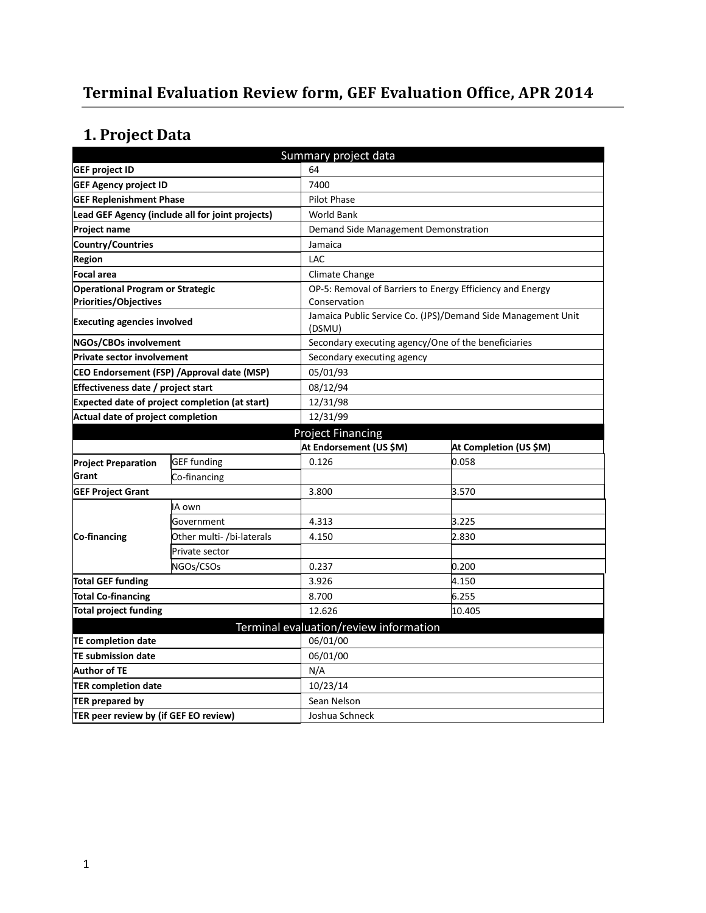# **Terminal Evaluation Review form, GEF Evaluation Office, APR 2014**

# **1. Project Data**

| Summary project data                                                    |                                                      |                                                     |                                                              |  |  |
|-------------------------------------------------------------------------|------------------------------------------------------|-----------------------------------------------------|--------------------------------------------------------------|--|--|
| <b>GEF project ID</b>                                                   |                                                      | 64                                                  |                                                              |  |  |
| <b>GEF Agency project ID</b>                                            |                                                      | 7400                                                |                                                              |  |  |
|                                                                         | <b>GEF Replenishment Phase</b><br><b>Pilot Phase</b> |                                                     |                                                              |  |  |
| Lead GEF Agency (include all for joint projects)                        |                                                      | <b>World Bank</b>                                   |                                                              |  |  |
| <b>Project name</b>                                                     |                                                      | Demand Side Management Demonstration                |                                                              |  |  |
| Country/Countries                                                       |                                                      | Jamaica                                             |                                                              |  |  |
| <b>Region</b>                                                           |                                                      | LAC                                                 |                                                              |  |  |
| Focal area                                                              |                                                      | Climate Change                                      |                                                              |  |  |
| <b>Operational Program or Strategic</b><br><b>Priorities/Objectives</b> |                                                      | Conservation                                        | OP-5: Removal of Barriers to Energy Efficiency and Energy    |  |  |
| <b>Executing agencies involved</b>                                      |                                                      | (DSMU)                                              | Jamaica Public Service Co. (JPS)/Demand Side Management Unit |  |  |
| NGOs/CBOs involvement                                                   |                                                      | Secondary executing agency/One of the beneficiaries |                                                              |  |  |
| <b>Private sector involvement</b>                                       |                                                      | Secondary executing agency                          |                                                              |  |  |
|                                                                         | CEO Endorsement (FSP) /Approval date (MSP)           | 05/01/93                                            |                                                              |  |  |
| Effectiveness date / project start                                      |                                                      | 08/12/94                                            |                                                              |  |  |
| <b>Expected date of project completion (at start)</b>                   |                                                      | 12/31/98                                            |                                                              |  |  |
| Actual date of project completion                                       |                                                      | 12/31/99                                            |                                                              |  |  |
|                                                                         |                                                      | <b>Project Financing</b>                            |                                                              |  |  |
|                                                                         |                                                      | At Endorsement (US \$M)                             | At Completion (US \$M)                                       |  |  |
| <b>Project Preparation</b>                                              | <b>GEF</b> funding                                   | 0.126                                               | 0.058                                                        |  |  |
| Grant                                                                   | Co-financing                                         |                                                     |                                                              |  |  |
| <b>GEF Project Grant</b>                                                |                                                      | 3.800                                               | 3.570                                                        |  |  |
|                                                                         | IA own                                               |                                                     |                                                              |  |  |
|                                                                         | Government                                           | 4.313                                               | 3.225                                                        |  |  |
| Co-financing                                                            | Other multi- /bi-laterals                            | 4.150                                               | 2.830                                                        |  |  |
|                                                                         | Private sector                                       |                                                     |                                                              |  |  |
|                                                                         | NGOs/CSOs                                            | 0.237                                               | 0.200                                                        |  |  |
| <b>Total GEF funding</b>                                                |                                                      | 3.926                                               | 4.150                                                        |  |  |
| <b>Total Co-financing</b>                                               |                                                      | 8.700                                               | 6.255                                                        |  |  |
| <b>Total project funding</b>                                            |                                                      | 12.626                                              | 10.405                                                       |  |  |
|                                                                         |                                                      | Terminal evaluation/review information              |                                                              |  |  |
| <b>TE completion date</b>                                               |                                                      | 06/01/00                                            |                                                              |  |  |
| <b>TE submission date</b>                                               |                                                      | 06/01/00                                            |                                                              |  |  |
| <b>Author of TE</b>                                                     |                                                      | N/A                                                 |                                                              |  |  |
| <b>TER completion date</b>                                              |                                                      | 10/23/14                                            |                                                              |  |  |
| TER prepared by                                                         |                                                      | Sean Nelson                                         |                                                              |  |  |
| TER peer review by (if GEF EO review)                                   |                                                      | Joshua Schneck                                      |                                                              |  |  |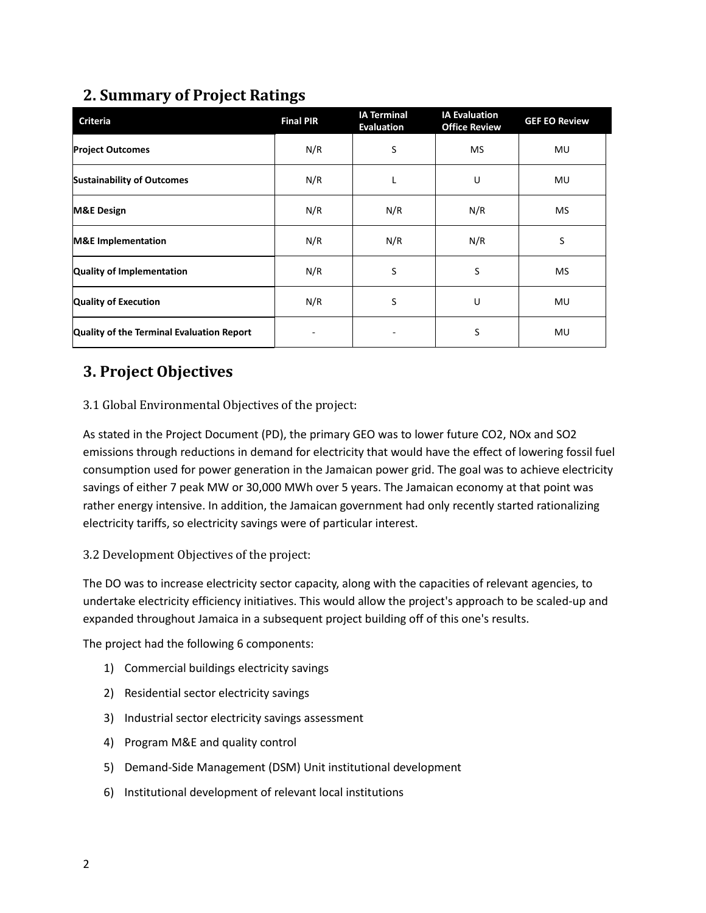# **2. Summary of Project Ratings**

| <b>Criteria</b>                           | <b>Final PIR</b> | <b>IA Terminal</b><br><b>Evaluation</b> | <b>IA Evaluation</b><br><b>Office Review</b> | <b>GEF EO Review</b> |
|-------------------------------------------|------------------|-----------------------------------------|----------------------------------------------|----------------------|
| <b>Project Outcomes</b>                   | N/R              | S                                       | <b>MS</b>                                    | MU                   |
| <b>Sustainability of Outcomes</b>         | N/R              |                                         | U                                            | <b>MU</b>            |
| <b>M&amp;E Design</b>                     | N/R              | N/R                                     | N/R                                          | <b>MS</b>            |
| <b>M&amp;E</b> Implementation             | N/R              | N/R                                     | N/R                                          | S                    |
| <b>Quality of Implementation</b>          | N/R              | S                                       | S                                            | <b>MS</b>            |
| <b>Quality of Execution</b>               | N/R              | S                                       | U                                            | <b>MU</b>            |
| Quality of the Terminal Evaluation Report |                  |                                         | S                                            | MU                   |

# **3. Project Objectives**

### 3.1 Global Environmental Objectives of the project:

As stated in the Project Document (PD), the primary GEO was to lower future CO2, NOx and SO2 emissions through reductions in demand for electricity that would have the effect of lowering fossil fuel consumption used for power generation in the Jamaican power grid. The goal was to achieve electricity savings of either 7 peak MW or 30,000 MWh over 5 years. The Jamaican economy at that point was rather energy intensive. In addition, the Jamaican government had only recently started rationalizing electricity tariffs, so electricity savings were of particular interest.

### 3.2 Development Objectives of the project:

The DO was to increase electricity sector capacity, along with the capacities of relevant agencies, to undertake electricity efficiency initiatives. This would allow the project's approach to be scaled-up and expanded throughout Jamaica in a subsequent project building off of this one's results.

The project had the following 6 components:

- 1) Commercial buildings electricity savings
- 2) Residential sector electricity savings
- 3) Industrial sector electricity savings assessment
- 4) Program M&E and quality control
- 5) Demand-Side Management (DSM) Unit institutional development
- 6) Institutional development of relevant local institutions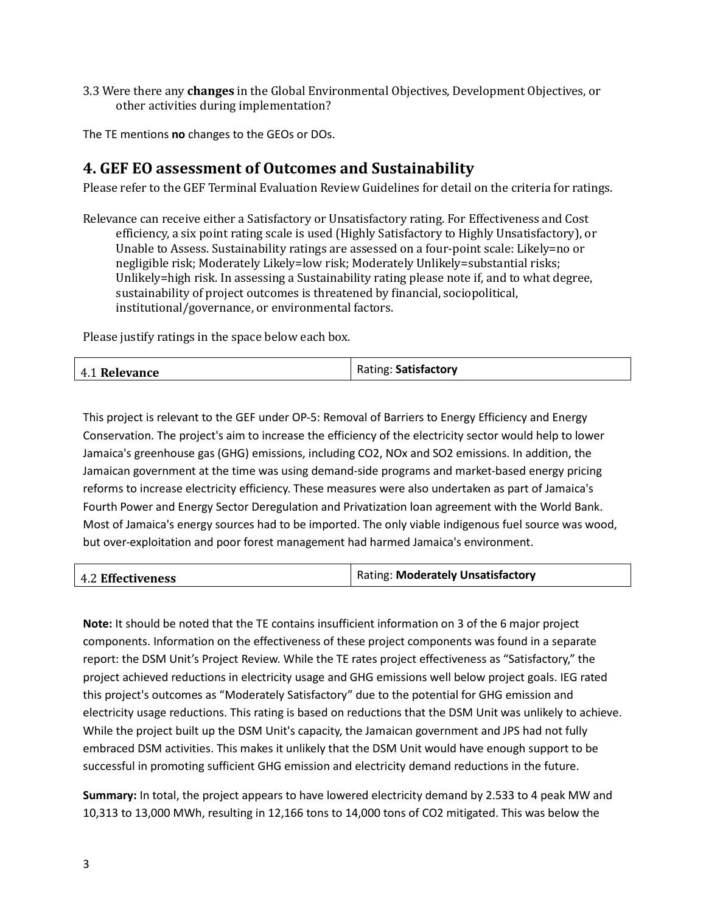3.3 Were there any **changes** in the Global Environmental Objectives, Development Objectives, or other activities during implementation?

The TE mentions **no** changes to the GEOs or DOs.

### **4. GEF EO assessment of Outcomes and Sustainability**

Please refer to the GEF Terminal Evaluation Review Guidelines for detail on the criteria for ratings.

Relevance can receive either a Satisfactory or Unsatisfactory rating. For Effectiveness and Cost efficiency, a six point rating scale is used (Highly Satisfactory to Highly Unsatisfactory), or Unable to Assess. Sustainability ratings are assessed on a four-point scale: Likely=no or negligible risk; Moderately Likely=low risk; Moderately Unlikely=substantial risks; Unlikely=high risk. In assessing a Sustainability rating please note if, and to what degree, sustainability of project outcomes is threatened by financial, sociopolitical, institutional/governance, or environmental factors.

Please justify ratings in the space below each box.

| Rating: Satisfactory<br>4.1 Relevance |
|---------------------------------------|
|---------------------------------------|

This project is relevant to the GEF under OP-5: Removal of Barriers to Energy Efficiency and Energy Conservation. The project's aim to increase the efficiency of the electricity sector would help to lower Jamaica's greenhouse gas (GHG) emissions, including CO2, NOx and SO2 emissions. In addition, the Jamaican government at the time was using demand-side programs and market-based energy pricing reforms to increase electricity efficiency. These measures were also undertaken as part of Jamaica's Fourth Power and Energy Sector Deregulation and Privatization loan agreement with the World Bank. Most of Jamaica's energy sources had to be imported. The only viable indigenous fuel source was wood, but over-exploitation and poor forest management had harmed Jamaica's environment.

| <b>4.2 Effectiveness</b> | Rating: Moderately Unsatisfactory |
|--------------------------|-----------------------------------|
|                          |                                   |

**Note:** It should be noted that the TE contains insufficient information on 3 of the 6 major project components. Information on the effectiveness of these project components was found in a separate report: the DSM Unit's Project Review. While the TE rates project effectiveness as "Satisfactory," the project achieved reductions in electricity usage and GHG emissions well below project goals. IEG rated this project's outcomes as "Moderately Satisfactory" due to the potential for GHG emission and electricity usage reductions. This rating is based on reductions that the DSM Unit was unlikely to achieve. While the project built up the DSM Unit's capacity, the Jamaican government and JPS had not fully embraced DSM activities. This makes it unlikely that the DSM Unit would have enough support to be successful in promoting sufficient GHG emission and electricity demand reductions in the future.

**Summary:** In total, the project appears to have lowered electricity demand by 2.533 to 4 peak MW and 10,313 to 13,000 MWh, resulting in 12,166 tons to 14,000 tons of CO2 mitigated. This was below the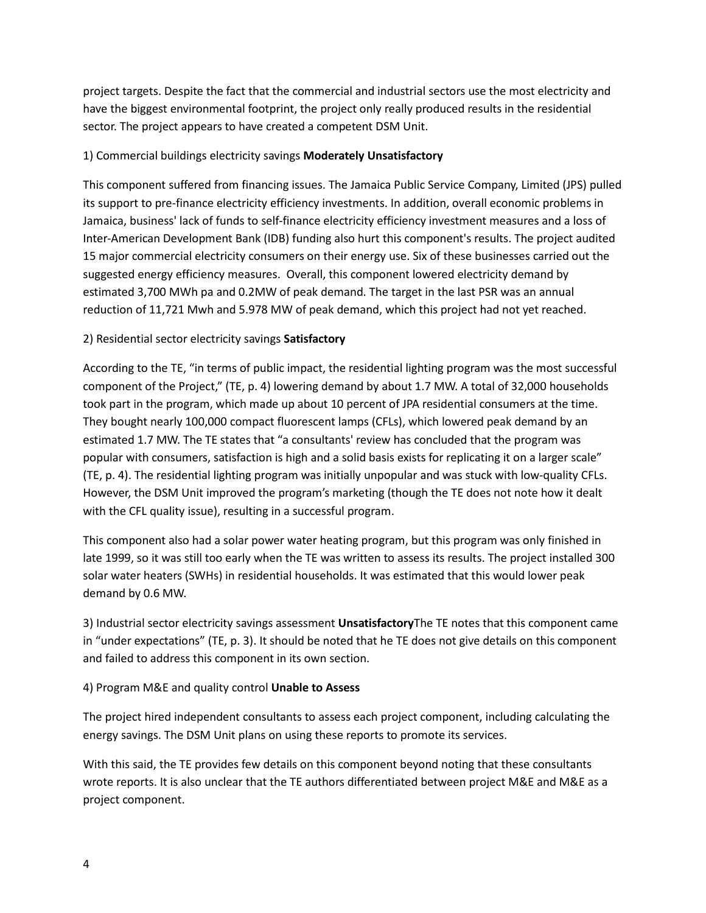project targets. Despite the fact that the commercial and industrial sectors use the most electricity and have the biggest environmental footprint, the project only really produced results in the residential sector. The project appears to have created a competent DSM Unit.

#### 1) Commercial buildings electricity savings **Moderately Unsatisfactory**

This component suffered from financing issues. The Jamaica Public Service Company, Limited (JPS) pulled its support to pre-finance electricity efficiency investments. In addition, overall economic problems in Jamaica, business' lack of funds to self-finance electricity efficiency investment measures and a loss of Inter-American Development Bank (IDB) funding also hurt this component's results. The project audited 15 major commercial electricity consumers on their energy use. Six of these businesses carried out the suggested energy efficiency measures. Overall, this component lowered electricity demand by estimated 3,700 MWh pa and 0.2MW of peak demand. The target in the last PSR was an annual reduction of 11,721 Mwh and 5.978 MW of peak demand, which this project had not yet reached.

#### 2) Residential sector electricity savings **Satisfactory**

According to the TE, "in terms of public impact, the residential lighting program was the most successful component of the Project," (TE, p. 4) lowering demand by about 1.7 MW. A total of 32,000 households took part in the program, which made up about 10 percent of JPA residential consumers at the time. They bought nearly 100,000 compact fluorescent lamps (CFLs), which lowered peak demand by an estimated 1.7 MW. The TE states that "a consultants' review has concluded that the program was popular with consumers, satisfaction is high and a solid basis exists for replicating it on a larger scale" (TE, p. 4). The residential lighting program was initially unpopular and was stuck with low-quality CFLs. However, the DSM Unit improved the program's marketing (though the TE does not note how it dealt with the CFL quality issue), resulting in a successful program.

This component also had a solar power water heating program, but this program was only finished in late 1999, so it was still too early when the TE was written to assess its results. The project installed 300 solar water heaters (SWHs) in residential households. It was estimated that this would lower peak demand by 0.6 MW.

3) Industrial sector electricity savings assessment **Unsatisfactory**The TE notes that this component came in "under expectations" (TE, p. 3). It should be noted that he TE does not give details on this component and failed to address this component in its own section.

#### 4) Program M&E and quality control **Unable to Assess**

The project hired independent consultants to assess each project component, including calculating the energy savings. The DSM Unit plans on using these reports to promote its services.

With this said, the TE provides few details on this component beyond noting that these consultants wrote reports. It is also unclear that the TE authors differentiated between project M&E and M&E as a project component.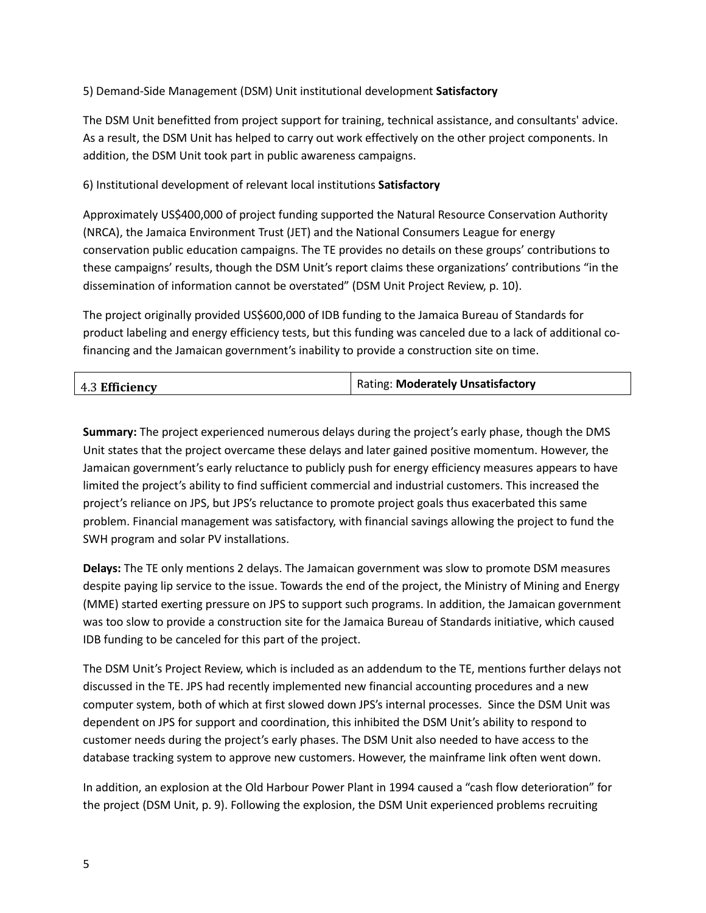### 5) Demand-Side Management (DSM) Unit institutional development **Satisfactory**

The DSM Unit benefitted from project support for training, technical assistance, and consultants' advice. As a result, the DSM Unit has helped to carry out work effectively on the other project components. In addition, the DSM Unit took part in public awareness campaigns.

#### 6) Institutional development of relevant local institutions **Satisfactory**

Approximately US\$400,000 of project funding supported the Natural Resource Conservation Authority (NRCA), the Jamaica Environment Trust (JET) and the National Consumers League for energy conservation public education campaigns. The TE provides no details on these groups' contributions to these campaigns' results, though the DSM Unit's report claims these organizations' contributions "in the dissemination of information cannot be overstated" (DSM Unit Project Review, p. 10).

The project originally provided US\$600,000 of IDB funding to the Jamaica Bureau of Standards for product labeling and energy efficiency tests, but this funding was canceled due to a lack of additional cofinancing and the Jamaican government's inability to provide a construction site on time.

| 4.3 Efficiency | Rating: Moderately Unsatisfactory |
|----------------|-----------------------------------|
|                |                                   |

**Summary:** The project experienced numerous delays during the project's early phase, though the DMS Unit states that the project overcame these delays and later gained positive momentum. However, the Jamaican government's early reluctance to publicly push for energy efficiency measures appears to have limited the project's ability to find sufficient commercial and industrial customers. This increased the project's reliance on JPS, but JPS's reluctance to promote project goals thus exacerbated this same problem. Financial management was satisfactory, with financial savings allowing the project to fund the SWH program and solar PV installations.

**Delays:** The TE only mentions 2 delays. The Jamaican government was slow to promote DSM measures despite paying lip service to the issue. Towards the end of the project, the Ministry of Mining and Energy (MME) started exerting pressure on JPS to support such programs. In addition, the Jamaican government was too slow to provide a construction site for the Jamaica Bureau of Standards initiative, which caused IDB funding to be canceled for this part of the project.

The DSM Unit's Project Review, which is included as an addendum to the TE, mentions further delays not discussed in the TE. JPS had recently implemented new financial accounting procedures and a new computer system, both of which at first slowed down JPS's internal processes. Since the DSM Unit was dependent on JPS for support and coordination, this inhibited the DSM Unit's ability to respond to customer needs during the project's early phases. The DSM Unit also needed to have access to the database tracking system to approve new customers. However, the mainframe link often went down.

In addition, an explosion at the Old Harbour Power Plant in 1994 caused a "cash flow deterioration" for the project (DSM Unit, p. 9). Following the explosion, the DSM Unit experienced problems recruiting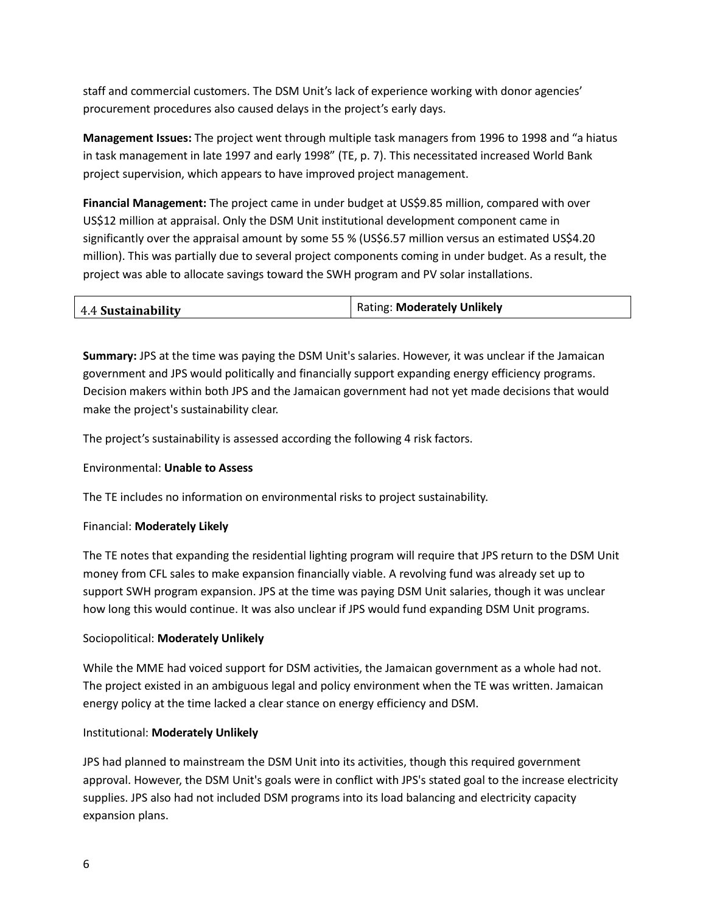staff and commercial customers. The DSM Unit's lack of experience working with donor agencies' procurement procedures also caused delays in the project's early days.

**Management Issues:** The project went through multiple task managers from 1996 to 1998 and "a hiatus in task management in late 1997 and early 1998" (TE, p. 7). This necessitated increased World Bank project supervision, which appears to have improved project management.

**Financial Management:** The project came in under budget at US\$9.85 million, compared with over US\$12 million at appraisal. Only the DSM Unit institutional development component came in significantly over the appraisal amount by some 55 % (US\$6.57 million versus an estimated US\$4.20 million). This was partially due to several project components coming in under budget. As a result, the project was able to allocate savings toward the SWH program and PV solar installations.

| 4.4 Sustainability | <b>Rating: Moderately Unlikely</b> |
|--------------------|------------------------------------|
|                    |                                    |

**Summary:** JPS at the time was paying the DSM Unit's salaries. However, it was unclear if the Jamaican government and JPS would politically and financially support expanding energy efficiency programs. Decision makers within both JPS and the Jamaican government had not yet made decisions that would make the project's sustainability clear.

The project's sustainability is assessed according the following 4 risk factors.

#### Environmental: **Unable to Assess**

The TE includes no information on environmental risks to project sustainability.

#### Financial: **Moderately Likely**

The TE notes that expanding the residential lighting program will require that JPS return to the DSM Unit money from CFL sales to make expansion financially viable. A revolving fund was already set up to support SWH program expansion. JPS at the time was paying DSM Unit salaries, though it was unclear how long this would continue. It was also unclear if JPS would fund expanding DSM Unit programs.

#### Sociopolitical: **Moderately Unlikely**

While the MME had voiced support for DSM activities, the Jamaican government as a whole had not. The project existed in an ambiguous legal and policy environment when the TE was written. Jamaican energy policy at the time lacked a clear stance on energy efficiency and DSM.

#### Institutional: **Moderately Unlikely**

JPS had planned to mainstream the DSM Unit into its activities, though this required government approval. However, the DSM Unit's goals were in conflict with JPS's stated goal to the increase electricity supplies. JPS also had not included DSM programs into its load balancing and electricity capacity expansion plans.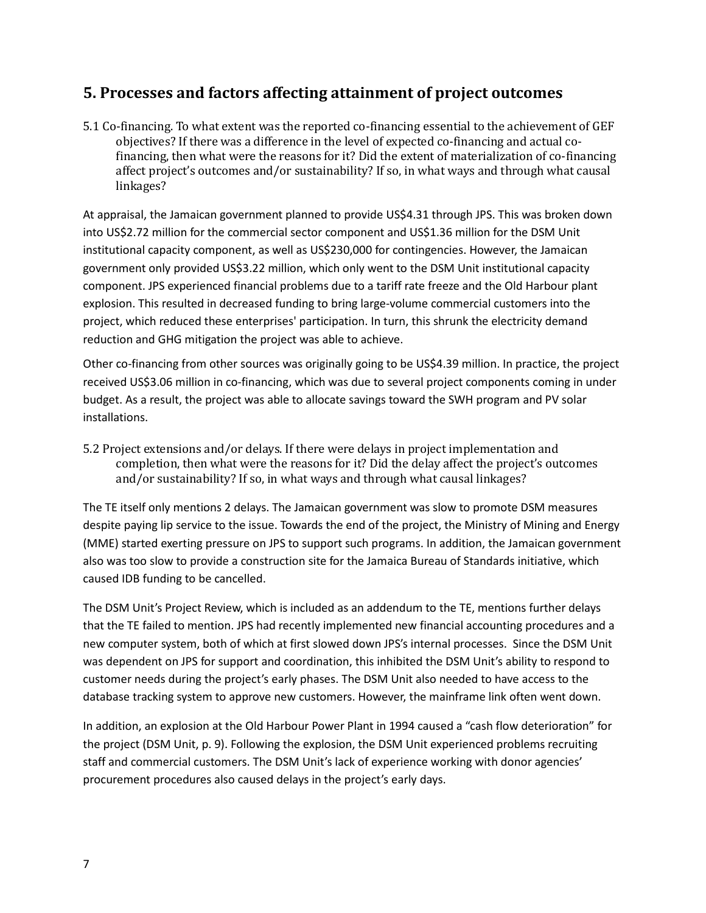### **5. Processes and factors affecting attainment of project outcomes**

5.1 Co-financing. To what extent was the reported co-financing essential to the achievement of GEF objectives? If there was a difference in the level of expected co-financing and actual cofinancing, then what were the reasons for it? Did the extent of materialization of co-financing affect project's outcomes and/or sustainability? If so, in what ways and through what causal linkages?

At appraisal, the Jamaican government planned to provide US\$4.31 through JPS. This was broken down into US\$2.72 million for the commercial sector component and US\$1.36 million for the DSM Unit institutional capacity component, as well as US\$230,000 for contingencies. However, the Jamaican government only provided US\$3.22 million, which only went to the DSM Unit institutional capacity component. JPS experienced financial problems due to a tariff rate freeze and the Old Harbour plant explosion. This resulted in decreased funding to bring large-volume commercial customers into the project, which reduced these enterprises' participation. In turn, this shrunk the electricity demand reduction and GHG mitigation the project was able to achieve.

Other co-financing from other sources was originally going to be US\$4.39 million. In practice, the project received US\$3.06 million in co-financing, which was due to several project components coming in under budget. As a result, the project was able to allocate savings toward the SWH program and PV solar installations.

5.2 Project extensions and/or delays. If there were delays in project implementation and completion, then what were the reasons for it? Did the delay affect the project's outcomes and/or sustainability? If so, in what ways and through what causal linkages?

The TE itself only mentions 2 delays. The Jamaican government was slow to promote DSM measures despite paying lip service to the issue. Towards the end of the project, the Ministry of Mining and Energy (MME) started exerting pressure on JPS to support such programs. In addition, the Jamaican government also was too slow to provide a construction site for the Jamaica Bureau of Standards initiative, which caused IDB funding to be cancelled.

The DSM Unit's Project Review, which is included as an addendum to the TE, mentions further delays that the TE failed to mention. JPS had recently implemented new financial accounting procedures and a new computer system, both of which at first slowed down JPS's internal processes. Since the DSM Unit was dependent on JPS for support and coordination, this inhibited the DSM Unit's ability to respond to customer needs during the project's early phases. The DSM Unit also needed to have access to the database tracking system to approve new customers. However, the mainframe link often went down.

In addition, an explosion at the Old Harbour Power Plant in 1994 caused a "cash flow deterioration" for the project (DSM Unit, p. 9). Following the explosion, the DSM Unit experienced problems recruiting staff and commercial customers. The DSM Unit's lack of experience working with donor agencies' procurement procedures also caused delays in the project's early days.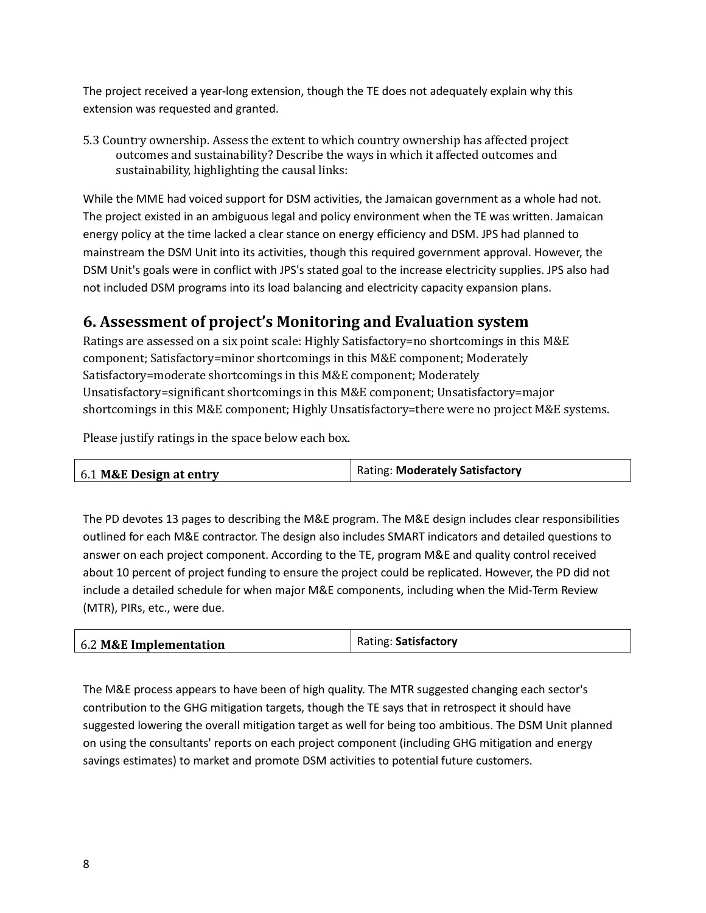The project received a year-long extension, though the TE does not adequately explain why this extension was requested and granted.

5.3 Country ownership. Assess the extent to which country ownership has affected project outcomes and sustainability? Describe the ways in which it affected outcomes and sustainability, highlighting the causal links:

While the MME had voiced support for DSM activities, the Jamaican government as a whole had not. The project existed in an ambiguous legal and policy environment when the TE was written. Jamaican energy policy at the time lacked a clear stance on energy efficiency and DSM. JPS had planned to mainstream the DSM Unit into its activities, though this required government approval. However, the DSM Unit's goals were in conflict with JPS's stated goal to the increase electricity supplies. JPS also had not included DSM programs into its load balancing and electricity capacity expansion plans.

### **6. Assessment of project's Monitoring and Evaluation system**

Ratings are assessed on a six point scale: Highly Satisfactory=no shortcomings in this M&E component; Satisfactory=minor shortcomings in this M&E component; Moderately Satisfactory=moderate shortcomings in this M&E component; Moderately Unsatisfactory=significant shortcomings in this M&E component; Unsatisfactory=major shortcomings in this M&E component; Highly Unsatisfactory=there were no project M&E systems.

Please justify ratings in the space below each box.

| 6.1 M&E Design at entry | <b>Rating: Moderately Satisfactory</b> |
|-------------------------|----------------------------------------|
|                         |                                        |

The PD devotes 13 pages to describing the M&E program. The M&E design includes clear responsibilities outlined for each M&E contractor. The design also includes SMART indicators and detailed questions to answer on each project component. According to the TE, program M&E and quality control received about 10 percent of project funding to ensure the project could be replicated. However, the PD did not include a detailed schedule for when major M&E components, including when the Mid-Term Review (MTR), PIRs, etc., were due.

| 6.2 M&E Implementation | Rating: Satisfactory |
|------------------------|----------------------|
|                        |                      |

The M&E process appears to have been of high quality. The MTR suggested changing each sector's contribution to the GHG mitigation targets, though the TE says that in retrospect it should have suggested lowering the overall mitigation target as well for being too ambitious. The DSM Unit planned on using the consultants' reports on each project component (including GHG mitigation and energy savings estimates) to market and promote DSM activities to potential future customers.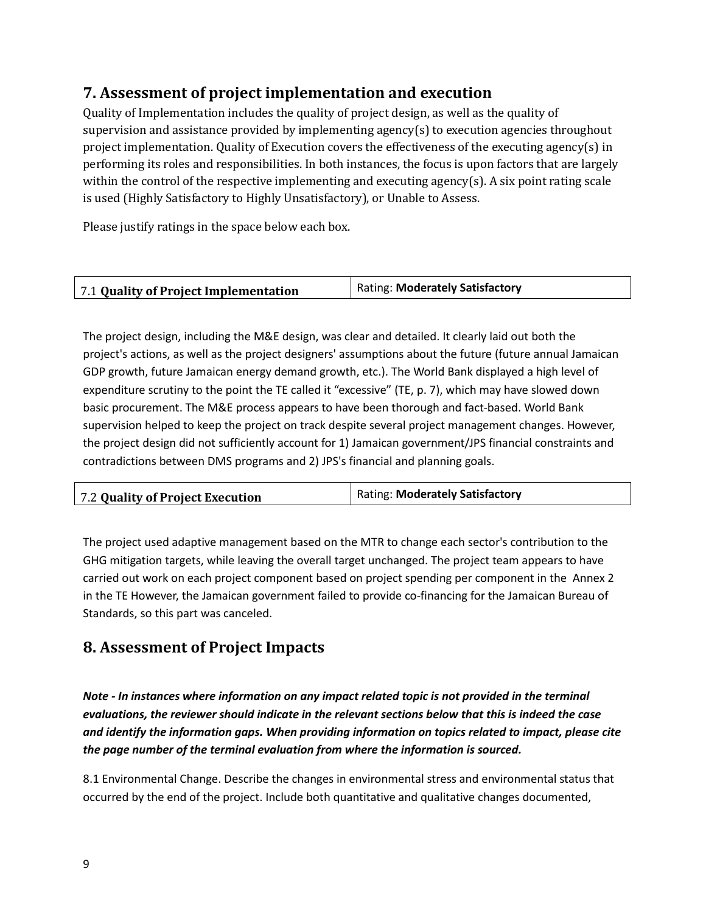## **7. Assessment of project implementation and execution**

Quality of Implementation includes the quality of project design, as well as the quality of supervision and assistance provided by implementing agency(s) to execution agencies throughout project implementation. Quality of Execution covers the effectiveness of the executing agency(s) in performing its roles and responsibilities. In both instances, the focus is upon factors that are largely within the control of the respective implementing and executing agency(s). A six point rating scale is used (Highly Satisfactory to Highly Unsatisfactory), or Unable to Assess.

Please justify ratings in the space below each box.

| 7.1 Quality of Project Implementation | <b>Rating: Moderately Satisfactory</b> |
|---------------------------------------|----------------------------------------|
|                                       |                                        |

The project design, including the M&E design, was clear and detailed. It clearly laid out both the project's actions, as well as the project designers' assumptions about the future (future annual Jamaican GDP growth, future Jamaican energy demand growth, etc.). The World Bank displayed a high level of expenditure scrutiny to the point the TE called it "excessive" (TE, p. 7), which may have slowed down basic procurement. The M&E process appears to have been thorough and fact-based. World Bank supervision helped to keep the project on track despite several project management changes. However, the project design did not sufficiently account for 1) Jamaican government/JPS financial constraints and contradictions between DMS programs and 2) JPS's financial and planning goals.

| 7.2 Quality of Project Execution | Rating: Moderately Satisfactory |
|----------------------------------|---------------------------------|
|                                  |                                 |

The project used adaptive management based on the MTR to change each sector's contribution to the GHG mitigation targets, while leaving the overall target unchanged. The project team appears to have carried out work on each project component based on project spending per component in the Annex 2 in the TE However, the Jamaican government failed to provide co-financing for the Jamaican Bureau of Standards, so this part was canceled.

### **8. Assessment of Project Impacts**

*Note - In instances where information on any impact related topic is not provided in the terminal evaluations, the reviewer should indicate in the relevant sections below that this is indeed the case and identify the information gaps. When providing information on topics related to impact, please cite the page number of the terminal evaluation from where the information is sourced.*

8.1 Environmental Change. Describe the changes in environmental stress and environmental status that occurred by the end of the project. Include both quantitative and qualitative changes documented,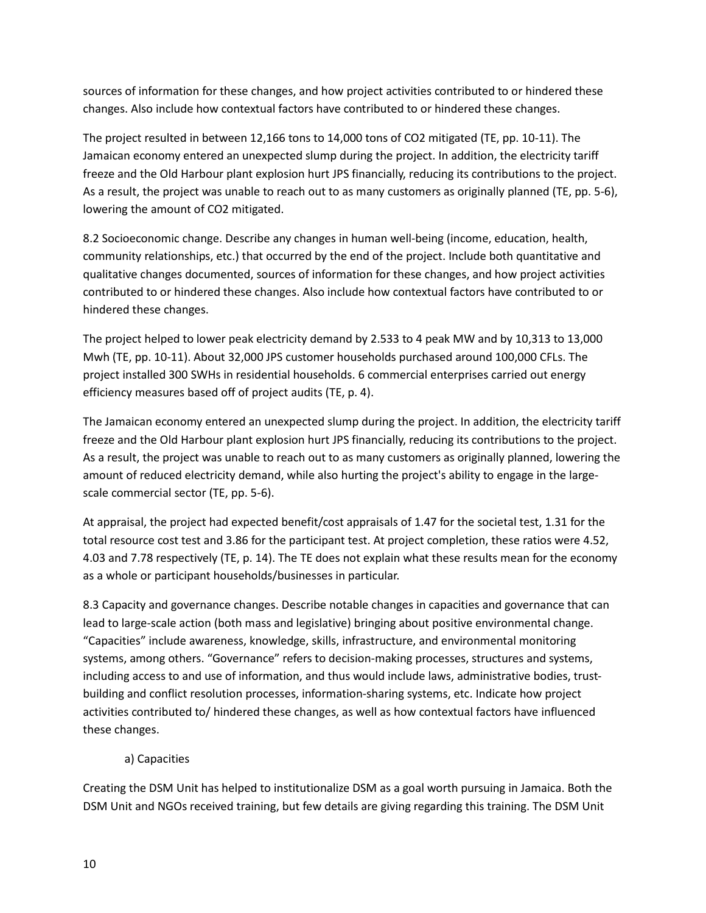sources of information for these changes, and how project activities contributed to or hindered these changes. Also include how contextual factors have contributed to or hindered these changes.

The project resulted in between 12,166 tons to 14,000 tons of CO2 mitigated (TE, pp. 10-11). The Jamaican economy entered an unexpected slump during the project. In addition, the electricity tariff freeze and the Old Harbour plant explosion hurt JPS financially, reducing its contributions to the project. As a result, the project was unable to reach out to as many customers as originally planned (TE, pp. 5-6), lowering the amount of CO2 mitigated.

8.2 Socioeconomic change. Describe any changes in human well-being (income, education, health, community relationships, etc.) that occurred by the end of the project. Include both quantitative and qualitative changes documented, sources of information for these changes, and how project activities contributed to or hindered these changes. Also include how contextual factors have contributed to or hindered these changes.

The project helped to lower peak electricity demand by 2.533 to 4 peak MW and by 10,313 to 13,000 Mwh (TE, pp. 10-11). About 32,000 JPS customer households purchased around 100,000 CFLs. The project installed 300 SWHs in residential households. 6 commercial enterprises carried out energy efficiency measures based off of project audits (TE, p. 4).

The Jamaican economy entered an unexpected slump during the project. In addition, the electricity tariff freeze and the Old Harbour plant explosion hurt JPS financially, reducing its contributions to the project. As a result, the project was unable to reach out to as many customers as originally planned, lowering the amount of reduced electricity demand, while also hurting the project's ability to engage in the largescale commercial sector (TE, pp. 5-6).

At appraisal, the project had expected benefit/cost appraisals of 1.47 for the societal test, 1.31 for the total resource cost test and 3.86 for the participant test. At project completion, these ratios were 4.52, 4.03 and 7.78 respectively (TE, p. 14). The TE does not explain what these results mean for the economy as a whole or participant households/businesses in particular.

8.3 Capacity and governance changes. Describe notable changes in capacities and governance that can lead to large-scale action (both mass and legislative) bringing about positive environmental change. "Capacities" include awareness, knowledge, skills, infrastructure, and environmental monitoring systems, among others. "Governance" refers to decision-making processes, structures and systems, including access to and use of information, and thus would include laws, administrative bodies, trustbuilding and conflict resolution processes, information-sharing systems, etc. Indicate how project activities contributed to/ hindered these changes, as well as how contextual factors have influenced these changes.

### a) Capacities

Creating the DSM Unit has helped to institutionalize DSM as a goal worth pursuing in Jamaica. Both the DSM Unit and NGOs received training, but few details are giving regarding this training. The DSM Unit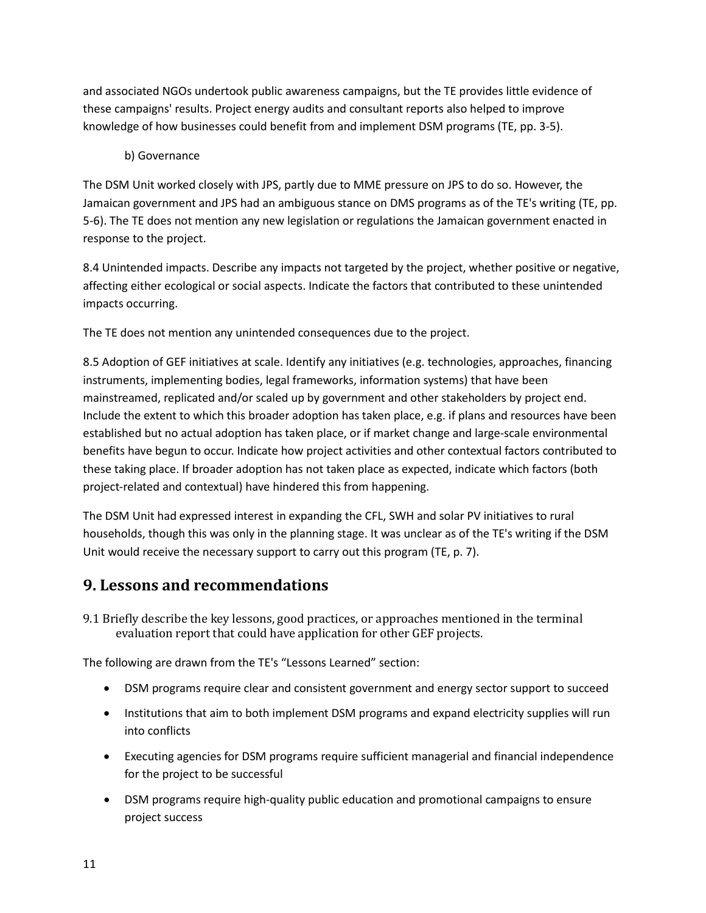and associated NGOs undertook public awareness campaigns, but the TE provides little evidence of these campaigns' results. Project energy audits and consultant reports also helped to improve knowledge of how businesses could benefit from and implement DSM programs (TE, pp. 3-5).

### b) Governance

The DSM Unit worked closely with JPS, partly due to MME pressure on JPS to do so. However, the Jamaican government and JPS had an ambiguous stance on DMS programs as of the TE's writing (TE, pp. 5-6). The TE does not mention any new legislation or regulations the Jamaican government enacted in response to the project.

8.4 Unintended impacts. Describe any impacts not targeted by the project, whether positive or negative, affecting either ecological or social aspects. Indicate the factors that contributed to these unintended impacts occurring.

The TE does not mention any unintended consequences due to the project.

8.5 Adoption of GEF initiatives at scale. Identify any initiatives (e.g. technologies, approaches, financing instruments, implementing bodies, legal frameworks, information systems) that have been mainstreamed, replicated and/or scaled up by government and other stakeholders by project end. Include the extent to which this broader adoption has taken place, e.g. if plans and resources have been established but no actual adoption has taken place, or if market change and large-scale environmental benefits have begun to occur. Indicate how project activities and other contextual factors contributed to these taking place. If broader adoption has not taken place as expected, indicate which factors (both project-related and contextual) have hindered this from happening.

The DSM Unit had expressed interest in expanding the CFL, SWH and solar PV initiatives to rural households, though this was only in the planning stage. It was unclear as of the TE's writing if the DSM Unit would receive the necessary support to carry out this program (TE, p. 7).

### **9. Lessons and recommendations**

9.1 Briefly describe the key lessons, good practices, or approaches mentioned in the terminal evaluation report that could have application for other GEF projects.

The following are drawn from the TE's "Lessons Learned" section:

- DSM programs require clear and consistent government and energy sector support to succeed
- Institutions that aim to both implement DSM programs and expand electricity supplies will run into conflicts
- Executing agencies for DSM programs require sufficient managerial and financial independence for the project to be successful
- DSM programs require high-quality public education and promotional campaigns to ensure project success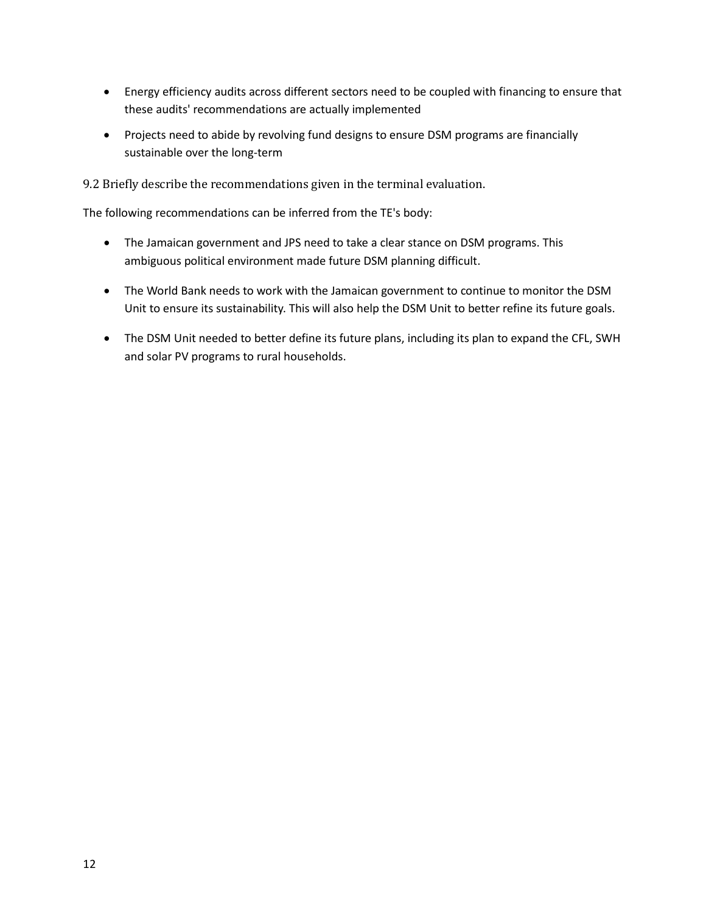- Energy efficiency audits across different sectors need to be coupled with financing to ensure that these audits' recommendations are actually implemented
- Projects need to abide by revolving fund designs to ensure DSM programs are financially sustainable over the long-term

9.2 Briefly describe the recommendations given in the terminal evaluation.

The following recommendations can be inferred from the TE's body:

- The Jamaican government and JPS need to take a clear stance on DSM programs. This ambiguous political environment made future DSM planning difficult.
- The World Bank needs to work with the Jamaican government to continue to monitor the DSM Unit to ensure its sustainability. This will also help the DSM Unit to better refine its future goals.
- The DSM Unit needed to better define its future plans, including its plan to expand the CFL, SWH and solar PV programs to rural households.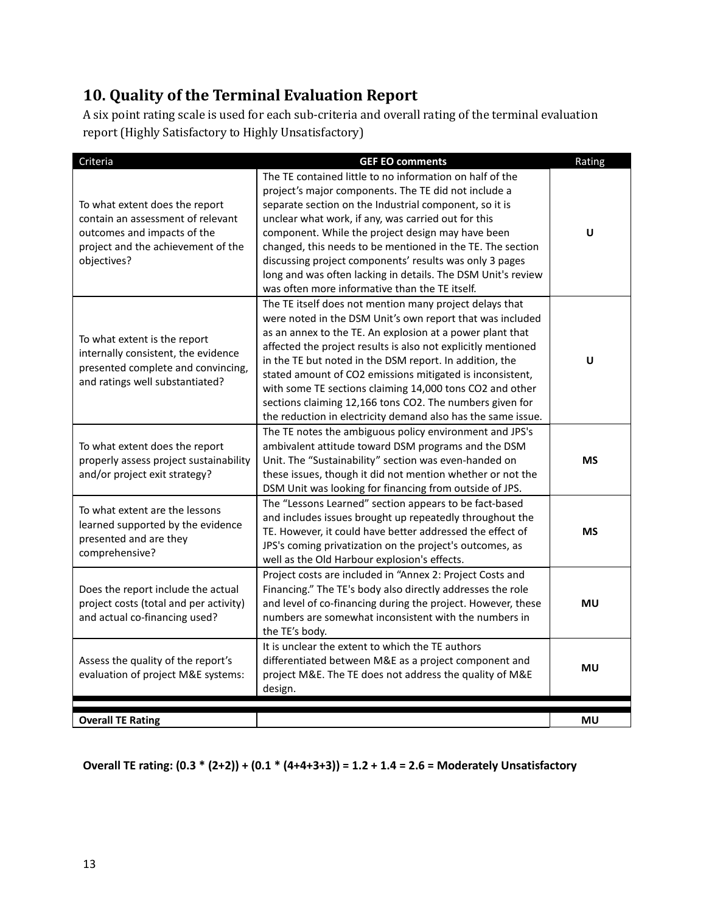# **10. Quality of the Terminal Evaluation Report**

A six point rating scale is used for each sub-criteria and overall rating of the terminal evaluation report (Highly Satisfactory to Highly Unsatisfactory)

| Criteria                                                                                                                                                | <b>GEF EO comments</b>                                                                                                                                                                                                                                                                                                                                                                                                                                                                                                                                             | Rating    |
|---------------------------------------------------------------------------------------------------------------------------------------------------------|--------------------------------------------------------------------------------------------------------------------------------------------------------------------------------------------------------------------------------------------------------------------------------------------------------------------------------------------------------------------------------------------------------------------------------------------------------------------------------------------------------------------------------------------------------------------|-----------|
| To what extent does the report<br>contain an assessment of relevant<br>outcomes and impacts of the<br>project and the achievement of the<br>objectives? | The TE contained little to no information on half of the<br>project's major components. The TE did not include a<br>separate section on the Industrial component, so it is<br>unclear what work, if any, was carried out for this<br>component. While the project design may have been<br>changed, this needs to be mentioned in the TE. The section<br>discussing project components' results was only 3 pages<br>long and was often lacking in details. The DSM Unit's review<br>was often more informative than the TE itself.                                  | $\cup$    |
| To what extent is the report<br>internally consistent, the evidence<br>presented complete and convincing,<br>and ratings well substantiated?            | The TE itself does not mention many project delays that<br>were noted in the DSM Unit's own report that was included<br>as an annex to the TE. An explosion at a power plant that<br>affected the project results is also not explicitly mentioned<br>in the TE but noted in the DSM report. In addition, the<br>stated amount of CO2 emissions mitigated is inconsistent,<br>with some TE sections claiming 14,000 tons CO2 and other<br>sections claiming 12,166 tons CO2. The numbers given for<br>the reduction in electricity demand also has the same issue. | U         |
| To what extent does the report<br>properly assess project sustainability<br>and/or project exit strategy?                                               | The TE notes the ambiguous policy environment and JPS's<br>ambivalent attitude toward DSM programs and the DSM<br>Unit. The "Sustainability" section was even-handed on<br>these issues, though it did not mention whether or not the<br>DSM Unit was looking for financing from outside of JPS.                                                                                                                                                                                                                                                                   | <b>MS</b> |
| To what extent are the lessons<br>learned supported by the evidence<br>presented and are they<br>comprehensive?                                         | The "Lessons Learned" section appears to be fact-based<br>and includes issues brought up repeatedly throughout the<br>TE. However, it could have better addressed the effect of<br>JPS's coming privatization on the project's outcomes, as<br>well as the Old Harbour explosion's effects.                                                                                                                                                                                                                                                                        | <b>MS</b> |
| Does the report include the actual<br>project costs (total and per activity)<br>and actual co-financing used?                                           | Project costs are included in "Annex 2: Project Costs and<br>Financing." The TE's body also directly addresses the role<br>and level of co-financing during the project. However, these<br>numbers are somewhat inconsistent with the numbers in<br>the TE's body.                                                                                                                                                                                                                                                                                                 | MU        |
| Assess the quality of the report's<br>evaluation of project M&E systems:                                                                                | It is unclear the extent to which the TE authors<br>differentiated between M&E as a project component and<br>project M&E. The TE does not address the quality of M&E<br>design.                                                                                                                                                                                                                                                                                                                                                                                    | MU        |
| <b>Overall TE Rating</b>                                                                                                                                |                                                                                                                                                                                                                                                                                                                                                                                                                                                                                                                                                                    | <b>MU</b> |

**Overall TE rating: (0.3 \* (2+2)) + (0.1 \* (4+4+3+3)) = 1.2 + 1.4 = 2.6 = Moderately Unsatisfactory**